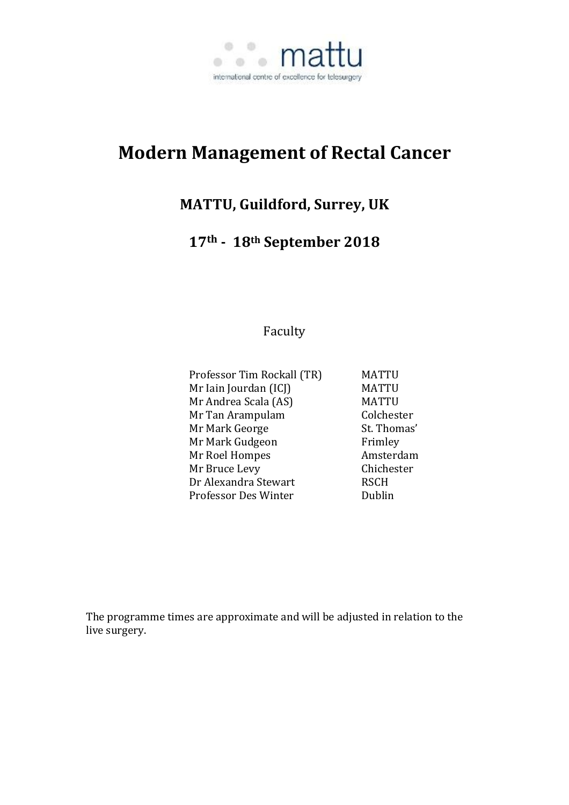

# **Modern Management of Rectal Cancer**

# **MATTU, Guildford, Surrey, UK**

# **17th - 18th September 2018**

Faculty

| Professor Tim Rockall (TR) | MATTU        |
|----------------------------|--------------|
| Mr Iain Jourdan (ICJ)      | <b>MATTU</b> |
| Mr Andrea Scala (AS)       | <b>MATTU</b> |
| Mr Tan Arampulam           | Colchester   |
| Mr Mark George             | St. Thomas'  |
| Mr Mark Gudgeon            | Frimley      |
| Mr Roel Hompes             | Amsterdam    |
| Mr Bruce Levy              | Chichester   |
| Dr Alexandra Stewart       | <b>RSCH</b>  |
| Professor Des Winter       | Dublin       |
|                            |              |

The programme times are approximate and will be adjusted in relation to the live surgery.